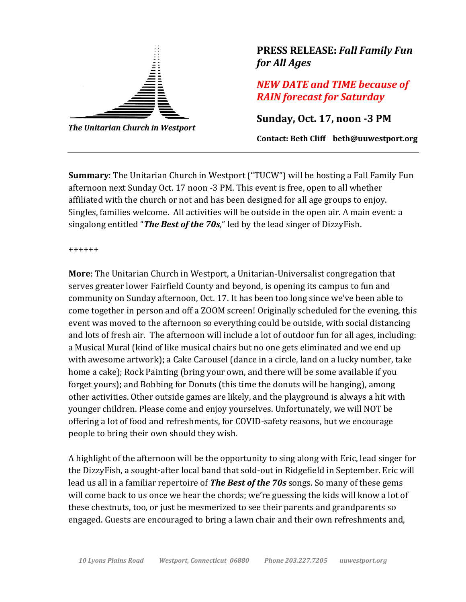

*The Unitarian Church in Westport*

## **PRESS RELEASE:** *Fall Family Fun for All Ages*

*NEW DATE and TIME because of RAIN forecast for Saturday*

**Sunday, Oct. 17, noon -3 PM**

**Contact: Beth Cliff beth@uuwestport.org**

**Summary**: The Unitarian Church in Westport ("TUCW") will be hosting a Fall Family Fun afternoon next Sunday Oct. 17 noon -3 PM. This event is free, open to all whether affiliated with the church or not and has been designed for all age groups to enjoy. Singles, families welcome. All activities will be outside in the open air. A main event: a singalong entitled "*The Best of the 70s*," led by the lead singer of DizzyFish.

++++++

**More**: The Unitarian Church in Westport, a Unitarian-Universalist congregation that serves greater lower Fairfield County and beyond, is opening its campus to fun and community on Sunday afternoon, Oct. 17. It has been too long since we've been able to come together in person and off a ZOOM screen! Originally scheduled for the evening, this event was moved to the afternoon so everything could be outside, with social distancing and lots of fresh air. The afternoon will include a lot of outdoor fun for all ages, including: a Musical Mural (kind of like musical chairs but no one gets eliminated and we end up with awesome artwork); a Cake Carousel (dance in a circle, land on a lucky number, take home a cake); Rock Painting (bring your own, and there will be some available if you forget yours); and Bobbing for Donuts (this time the donuts will be hanging), among other activities. Other outside games are likely, and the playground is always a hit with younger children. Please come and enjoy yourselves. Unfortunately, we will NOT be offering a lot of food and refreshments, for COVID-safety reasons, but we encourage people to bring their own should they wish.

A highlight of the afternoon will be the opportunity to sing along with Eric, lead singer for the DizzyFish, a sought-after local band that sold-out in Ridgefield in September. Eric will lead us all in a familiar repertoire of *The Best of the 70s* songs. So many of these gems will come back to us once we hear the chords; we're guessing the kids will know a lot of these chestnuts, too, or just be mesmerized to see their parents and grandparents so engaged. Guests are encouraged to bring a lawn chair and their own refreshments and,